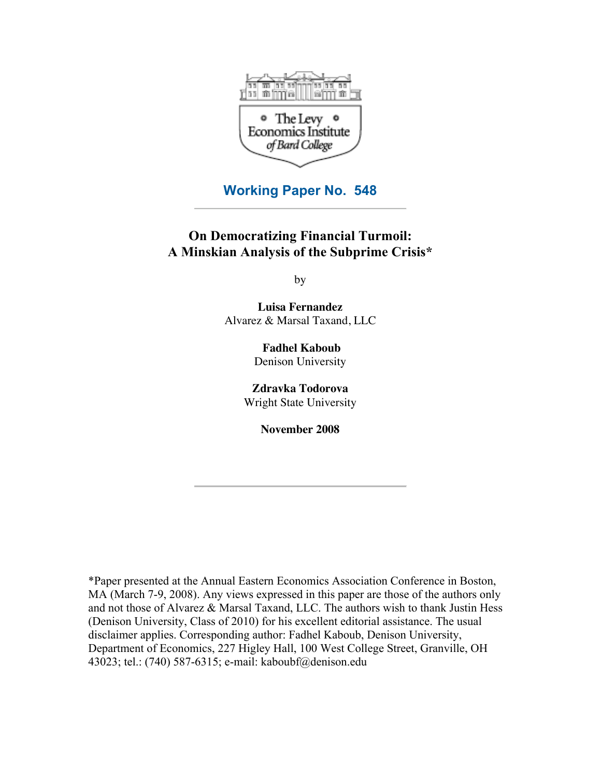

## **Working Paper No. 548**

### **On Democratizing Financial Turmoil: A Minskian Analysis of the Subprime Crisis\***

by

**Luisa Fernandez** Alvarez & Marsal Taxand, LLC

> **Fadhel Kaboub** Denison University

**Zdravka Todorova** Wright State University

**November 2008**

\*Paper presented at the Annual Eastern Economics Association Conference in Boston, MA (March 7-9, 2008). Any views expressed in this paper are those of the authors only and not those of Alvarez & Marsal Taxand, LLC. The authors wish to thank Justin Hess (Denison University, Class of 2010) for his excellent editorial assistance. The usual disclaimer applies. Corresponding author: Fadhel Kaboub, Denison University, Department of Economics, 227 Higley Hall, 100 West College Street, Granville, OH 43023; tel.: (740) 587-6315; e-mail: [kaboubf@denison.edu](mailto:kaboubf@denison.edu)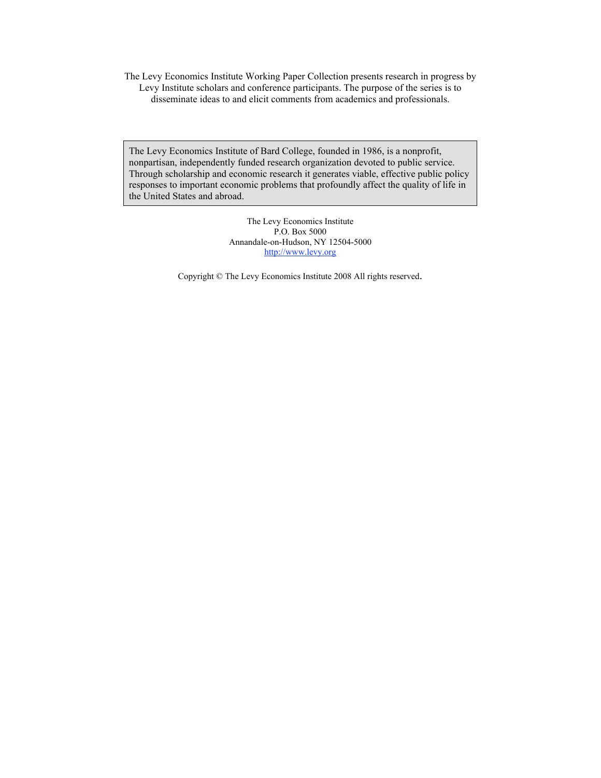The Levy Economics Institute Working Paper Collection presents research in progress by Levy Institute scholars and conference participants. The purpose of the series is to disseminate ideas to and elicit comments from academics and professionals.

The Levy Economics Institute of Bard College, founded in 1986, is a nonprofit, nonpartisan, independently funded research organization devoted to public service. Through scholarship and economic research it generates viable, effective public policy responses to important economic problems that profoundly affect the quality of life in the United States and abroad.

> The Levy Economics Institute P.O. Box 5000 Annandale-on-Hudson, NY 12504-5000 <http://www.levy.org>

Copyright © The Levy Economics Institute 2008 All rights reserved.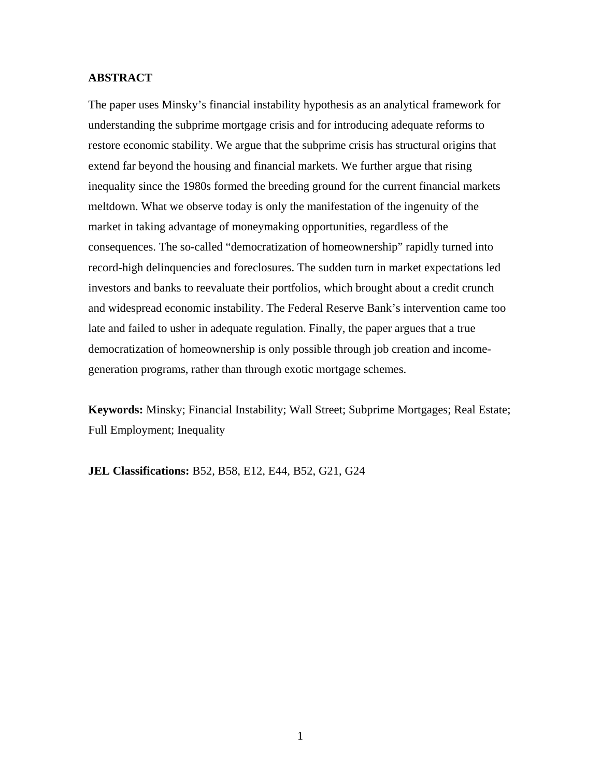#### **ABSTRACT**

The paper uses Minsky's financial instability hypothesis as an analytical framework for understanding the subprime mortgage crisis and for introducing adequate reforms to restore economic stability. We argue that the subprime crisis has structural origins that extend far beyond the housing and financial markets. We further argue that rising inequality since the 1980s formed the breeding ground for the current financial markets meltdown. What we observe today is only the manifestation of the ingenuity of the market in taking advantage of moneymaking opportunities, regardless of the consequences. The so-called "democratization of homeownership" rapidly turned into record-high delinquencies and foreclosures. The sudden turn in market expectations led investors and banks to reevaluate their portfolios, which brought about a credit crunch and widespread economic instability. The Federal Reserve Bank's intervention came too late and failed to usher in adequate regulation. Finally, the paper argues that a true democratization of homeownership is only possible through job creation and incomegeneration programs, rather than through exotic mortgage schemes.

**Keywords:** Minsky; Financial Instability; Wall Street; Subprime Mortgages; Real Estate; Full Employment; Inequality

**JEL Classifications:** B52, B58, E12, E44, B52, G21, G24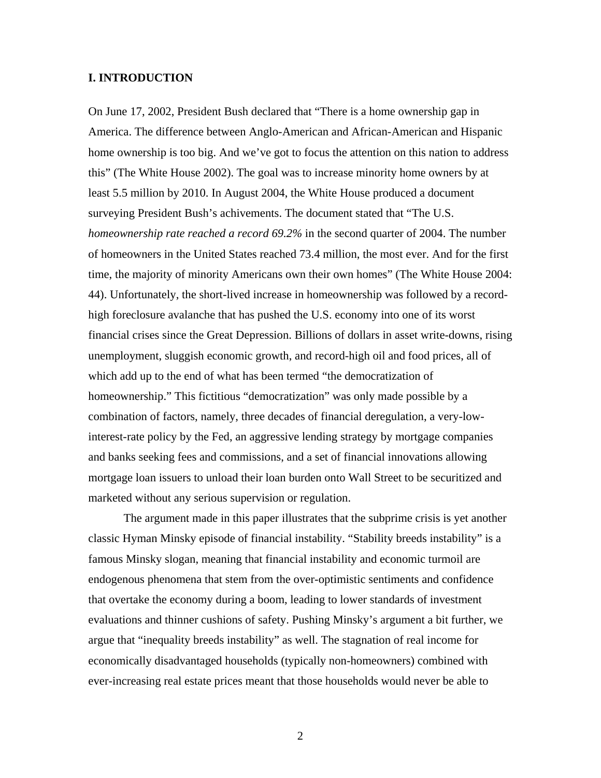#### **I. INTRODUCTION**

On June 17, 2002, President Bush declared that "There is a home ownership gap in America. The difference between Anglo-American and African-American and Hispanic home ownership is too big. And we've got to focus the attention on this nation to address this" (The White House 2002). The goal was to increase minority home owners by at least 5.5 million by 2010. In August 2004, the White House produced a document surveying President Bush's achivements. The document stated that "The U.S. *homeownership rate reached a record 69.2%* in the second quarter of 2004. The number of homeowners in the United States reached 73.4 million, the most ever. And for the first time, the majority of minority Americans own their own homes" (The White House 2004: 44). Unfortunately, the short-lived increase in homeownership was followed by a recordhigh foreclosure avalanche that has pushed the U.S. economy into one of its worst financial crises since the Great Depression. Billions of dollars in asset write-downs, rising unemployment, sluggish economic growth, and record-high oil and food prices, all of which add up to the end of what has been termed "the democratization of homeownership." This fictitious "democratization" was only made possible by a combination of factors, namely, three decades of financial deregulation, a very-lowinterest-rate policy by the Fed, an aggressive lending strategy by mortgage companies and banks seeking fees and commissions, and a set of financial innovations allowing mortgage loan issuers to unload their loan burden onto Wall Street to be securitized and marketed without any serious supervision or regulation.

The argument made in this paper illustrates that the subprime crisis is yet another classic Hyman Minsky episode of financial instability. "Stability breeds instability" is a famous Minsky slogan, meaning that financial instability and economic turmoil are endogenous phenomena that stem from the over-optimistic sentiments and confidence that overtake the economy during a boom, leading to lower standards of investment evaluations and thinner cushions of safety. Pushing Minsky's argument a bit further, we argue that "inequality breeds instability" as well. The stagnation of real income for economically disadvantaged households (typically non-homeowners) combined with ever-increasing real estate prices meant that those households would never be able to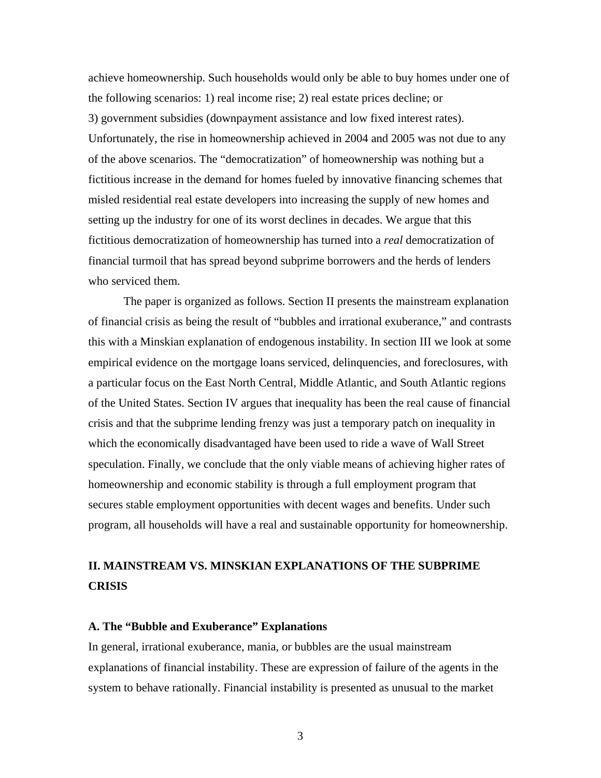achieve homeownership. Such households would only be able to buy homes under one of the following scenarios: 1) real income rise; 2) real estate prices decline; or 3) government subsidies (downpayment assistance and low fixed interest rates). Unfortunately, the rise in homeownership achieved in 2004 and 2005 was not due to any of the above scenarios. The "democratization" of homeownership was nothing but a fictitious increase in the demand for homes fueled by innovative financing schemes that misled residential real estate developers into increasing the supply of new homes and setting up the industry for one of its worst declines in decades. We argue that this fictitious democratization of homeownership has turned into a *real* democratization of financial turmoil that has spread beyond subprime borrowers and the herds of lenders who serviced them.

The paper is organized as follows. Section II presents the mainstream explanation of financial crisis as being the result of "bubbles and irrational exuberance," and contrasts this with a Minskian explanation of endogenous instability. In section III we look at some empirical evidence on the mortgage loans serviced, delinquencies, and foreclosures, with a particular focus on the East North Central, Middle Atlantic, and South Atlantic regions of the United States. Section IV argues that inequality has been the real cause of financial crisis and that the subprime lending frenzy was just a temporary patch on inequality in which the economically disadvantaged have been used to ride a wave of Wall Street speculation. Finally, we conclude that the only viable means of achieving higher rates of homeownership and economic stability is through a full employment program that secures stable employment opportunities with decent wages and benefits. Under such program, all households will have a real and sustainable opportunity for homeownership.

## **II. MAINSTREAM VS. MINSKIAN EXPLANATIONS OF THE SUBPRIME CRISIS**

#### **A. The "Bubble and Exuberance" Explanations**

In general, irrational exuberance, mania, or bubbles are the usual mainstream explanations of financial instability. These are expression of failure of the agents in the system to behave rationally. Financial instability is presented as unusual to the market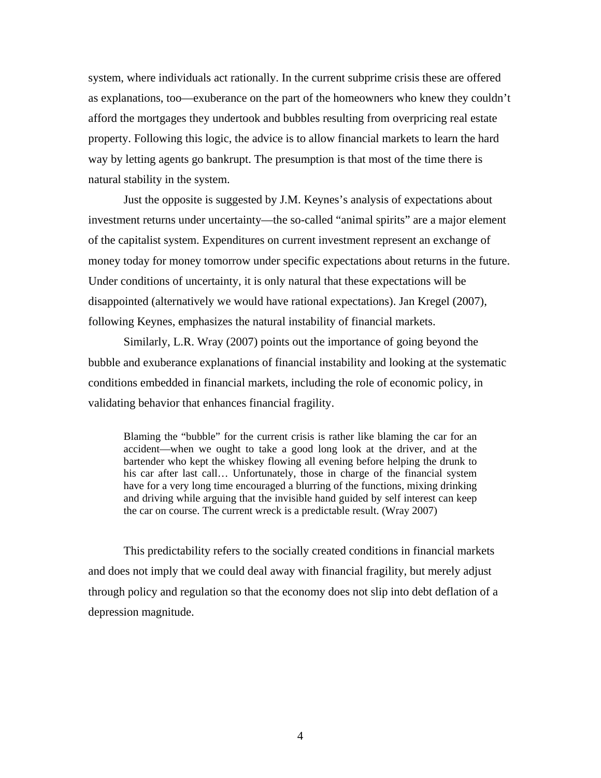system, where individuals act rationally. In the current subprime crisis these are offered as explanations, too—exuberance on the part of the homeowners who knew they couldn't afford the mortgages they undertook and bubbles resulting from overpricing real estate property. Following this logic, the advice is to allow financial markets to learn the hard way by letting agents go bankrupt. The presumption is that most of the time there is natural stability in the system.

 Just the opposite is suggested by J.M. Keynes's analysis of expectations about investment returns under uncertainty—the so-called "animal spirits" are a major element of the capitalist system. Expenditures on current investment represent an exchange of money today for money tomorrow under specific expectations about returns in the future. Under conditions of uncertainty, it is only natural that these expectations will be disappointed (alternatively we would have rational expectations). Jan Kregel (2007), following Keynes, emphasizes the natural instability of financial markets.

 Similarly, L.R. Wray (2007) points out the importance of going beyond the bubble and exuberance explanations of financial instability and looking at the systematic conditions embedded in financial markets, including the role of economic policy, in validating behavior that enhances financial fragility.

Blaming the "bubble" for the current crisis is rather like blaming the car for an accident—when we ought to take a good long look at the driver, and at the bartender who kept the whiskey flowing all evening before helping the drunk to his car after last call… Unfortunately, those in charge of the financial system have for a very long time encouraged a blurring of the functions, mixing drinking and driving while arguing that the invisible hand guided by self interest can keep the car on course. The current wreck is a predictable result. (Wray 2007)

This predictability refers to the socially created conditions in financial markets and does not imply that we could deal away with financial fragility, but merely adjust through policy and regulation so that the economy does not slip into debt deflation of a depression magnitude.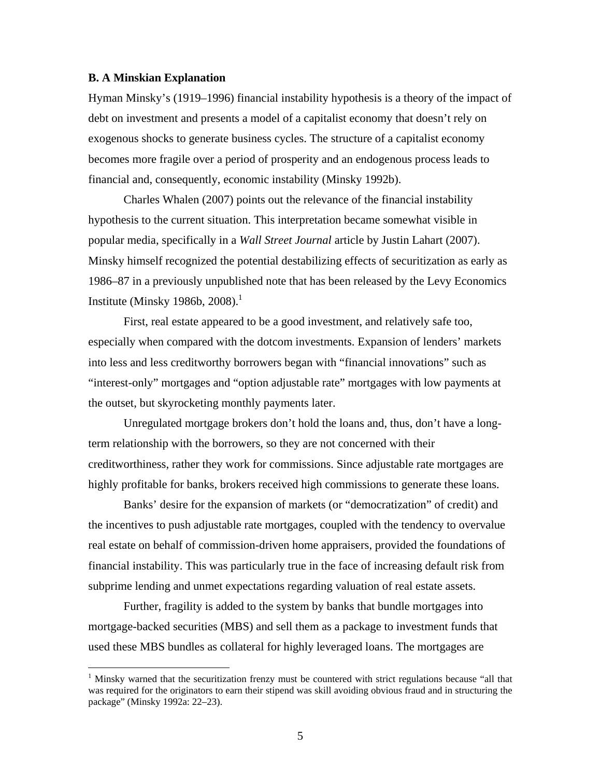#### **B. A Minskian Explanation**

1

Hyman Minsky's (1919–1996) financial instability hypothesis is a theory of the impact of debt on investment and presents a model of a capitalist economy that doesn't rely on exogenous shocks to generate business cycles. The structure of a capitalist economy becomes more fragile over a period of prosperity and an endogenous process leads to financial and, consequently, economic instability (Minsky 1992b).

Charles Whalen (2007) points out the relevance of the financial instability hypothesis to the current situation. This interpretation became somewhat visible in popular media, specifically in a *Wall Street Journal* article by Justin Lahart (2007). Minsky himself recognized the potential destabilizing effects of securitization as early as 1986–87 in a previously unpublished note that has been released by the Levy Economics Institute (Minsky 1986b, 2008). $<sup>1</sup>$ </sup>

 First, real estate appeared to be a good investment, and relatively safe too, especially when compared with the dotcom investments. Expansion of lenders' markets into less and less creditworthy borrowers began with "financial innovations" such as "interest-only" mortgages and "option adjustable rate" mortgages with low payments at the outset, but skyrocketing monthly payments later.

 Unregulated mortgage brokers don't hold the loans and, thus, don't have a longterm relationship with the borrowers, so they are not concerned with their creditworthiness, rather they work for commissions. Since adjustable rate mortgages are highly profitable for banks, brokers received high commissions to generate these loans.

 Banks' desire for the expansion of markets (or "democratization" of credit) and the incentives to push adjustable rate mortgages, coupled with the tendency to overvalue real estate on behalf of commission-driven home appraisers, provided the foundations of financial instability. This was particularly true in the face of increasing default risk from subprime lending and unmet expectations regarding valuation of real estate assets.

 Further, fragility is added to the system by banks that bundle mortgages into mortgage-backed securities (MBS) and sell them as a package to investment funds that used these MBS bundles as collateral for highly leveraged loans. The mortgages are

<sup>&</sup>lt;sup>1</sup> Minsky warned that the securitization frenzy must be countered with strict regulations because "all that was required for the originators to earn their stipend was skill avoiding obvious fraud and in structuring the package" (Minsky 1992a: 22–23).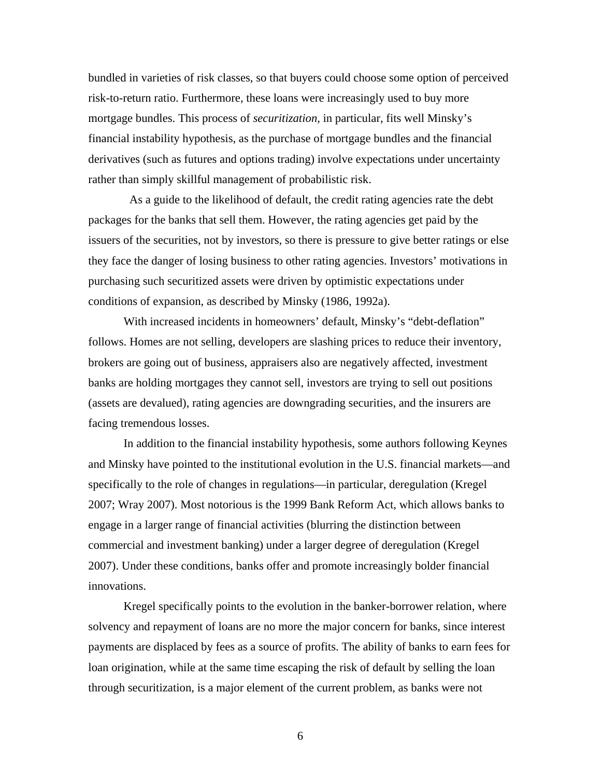bundled in varieties of risk classes, so that buyers could choose some option of perceived risk-to-return ratio. Furthermore, these loans were increasingly used to buy more mortgage bundles. This process of *securitization,* in particular, fits well Minsky's financial instability hypothesis, as the purchase of mortgage bundles and the financial derivatives (such as futures and options trading) involve expectations under uncertainty rather than simply skillful management of probabilistic risk.

 As a guide to the likelihood of default, the credit rating agencies rate the debt packages for the banks that sell them. However, the rating agencies get paid by the issuers of the securities, not by investors, so there is pressure to give better ratings or else they face the danger of losing business to other rating agencies. Investors' motivations in purchasing such securitized assets were driven by optimistic expectations under conditions of expansion, as described by Minsky (1986, 1992a).

With increased incidents in homeowners' default, Minsky's "debt-deflation" follows. Homes are not selling, developers are slashing prices to reduce their inventory, brokers are going out of business, appraisers also are negatively affected, investment banks are holding mortgages they cannot sell, investors are trying to sell out positions (assets are devalued), rating agencies are downgrading securities, and the insurers are facing tremendous losses.

 In addition to the financial instability hypothesis, some authors following Keynes and Minsky have pointed to the institutional evolution in the U.S. financial markets—and specifically to the role of changes in regulations—in particular, deregulation (Kregel 2007; Wray 2007). Most notorious is the 1999 Bank Reform Act, which allows banks to engage in a larger range of financial activities (blurring the distinction between commercial and investment banking) under a larger degree of deregulation (Kregel 2007). Under these conditions, banks offer and promote increasingly bolder financial innovations.

 Kregel specifically points to the evolution in the banker-borrower relation, where solvency and repayment of loans are no more the major concern for banks, since interest payments are displaced by fees as a source of profits. The ability of banks to earn fees for loan origination, while at the same time escaping the risk of default by selling the loan through securitization, is a major element of the current problem, as banks were not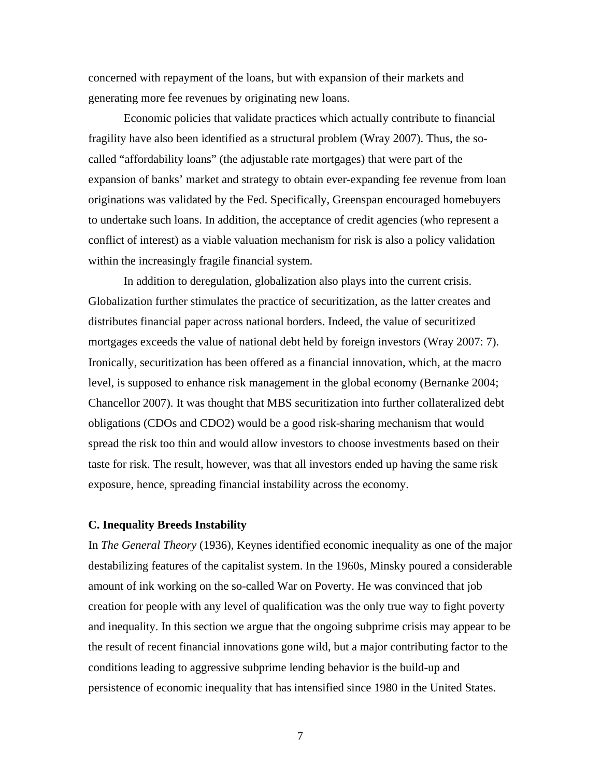concerned with repayment of the loans, but with expansion of their markets and generating more fee revenues by originating new loans.

 Economic policies that validate practices which actually contribute to financial fragility have also been identified as a structural problem (Wray 2007). Thus, the socalled "affordability loans" (the adjustable rate mortgages) that were part of the expansion of banks' market and strategy to obtain ever-expanding fee revenue from loan originations was validated by the Fed. Specifically, Greenspan encouraged homebuyers to undertake such loans. In addition, the acceptance of credit agencies (who represent a conflict of interest) as a viable valuation mechanism for risk is also a policy validation within the increasingly fragile financial system.

 In addition to deregulation, globalization also plays into the current crisis. Globalization further stimulates the practice of securitization, as the latter creates and distributes financial paper across national borders. Indeed, the value of securitized mortgages exceeds the value of national debt held by foreign investors (Wray 2007: 7). Ironically, securitization has been offered as a financial innovation, which, at the macro level, is supposed to enhance risk management in the global economy (Bernanke 2004; Chancellor 2007). It was thought that MBS securitization into further collateralized debt obligations (CDOs and CDO2) would be a good risk-sharing mechanism that would spread the risk too thin and would allow investors to choose investments based on their taste for risk. The result, however, was that all investors ended up having the same risk exposure, hence, spreading financial instability across the economy.

#### **C. Inequality Breeds Instability**

In *The General Theory* (1936), Keynes identified economic inequality as one of the major destabilizing features of the capitalist system. In the 1960s, Minsky poured a considerable amount of ink working on the so-called War on Poverty. He was convinced that job creation for people with any level of qualification was the only true way to fight poverty and inequality. In this section we argue that the ongoing subprime crisis may appear to be the result of recent financial innovations gone wild, but a major contributing factor to the conditions leading to aggressive subprime lending behavior is the build-up and persistence of economic inequality that has intensified since 1980 in the United States.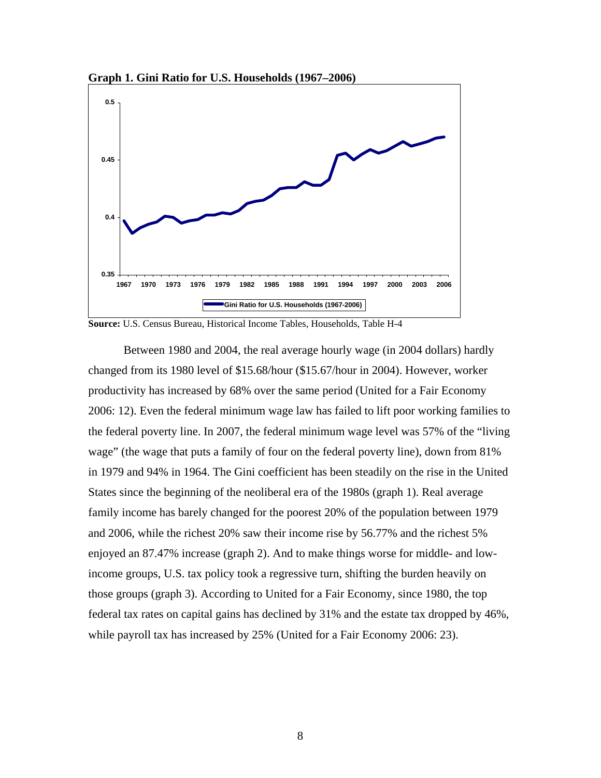

**Graph 1. Gini Ratio for U.S. Households (1967–2006)**

**Source:** U.S. Census Bureau, Historical Income Tables, Households, Table H-4

Between 1980 and 2004, the real average hourly wage (in 2004 dollars) hardly changed from its 1980 level of \$15.68/hour (\$15.67/hour in 2004). However, worker productivity has increased by 68% over the same period (United for a Fair Economy 2006: 12). Even the federal minimum wage law has failed to lift poor working families to the federal poverty line. In 2007, the federal minimum wage level was 57% of the "living wage" (the wage that puts a family of four on the federal poverty line), down from 81% in 1979 and 94% in 1964. The Gini coefficient has been steadily on the rise in the United States since the beginning of the neoliberal era of the 1980s (graph 1). Real average family income has barely changed for the poorest 20% of the population between 1979 and 2006, while the richest 20% saw their income rise by 56.77% and the richest 5% enjoyed an 87.47% increase (graph 2). And to make things worse for middle- and lowincome groups, U.S. tax policy took a regressive turn, shifting the burden heavily on those groups (graph 3). According to United for a Fair Economy, since 1980, the top federal tax rates on capital gains has declined by 31% and the estate tax dropped by 46%, while payroll tax has increased by 25% (United for a Fair Economy 2006: 23).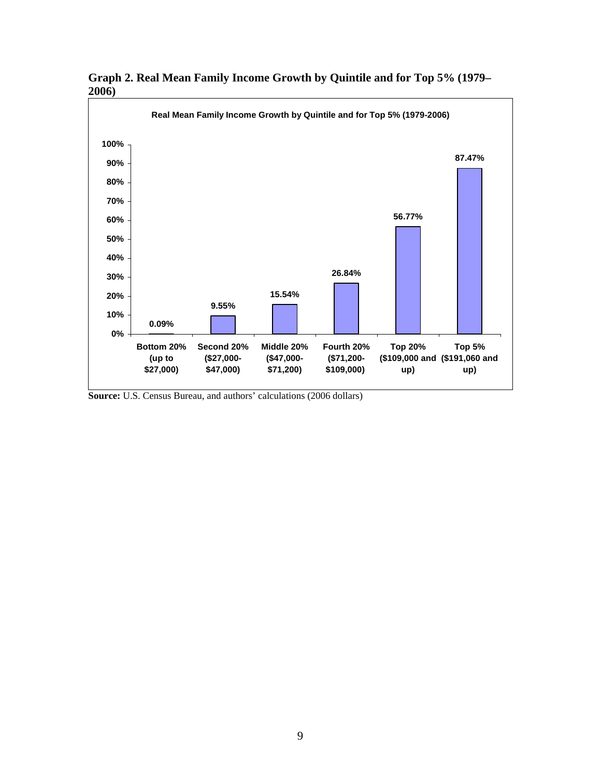

**Graph 2. Real Mean Family Income Growth by Quintile and for Top 5% (1979– 2006)**

**Source:** U.S. Census Bureau, and authors' calculations (2006 dollars)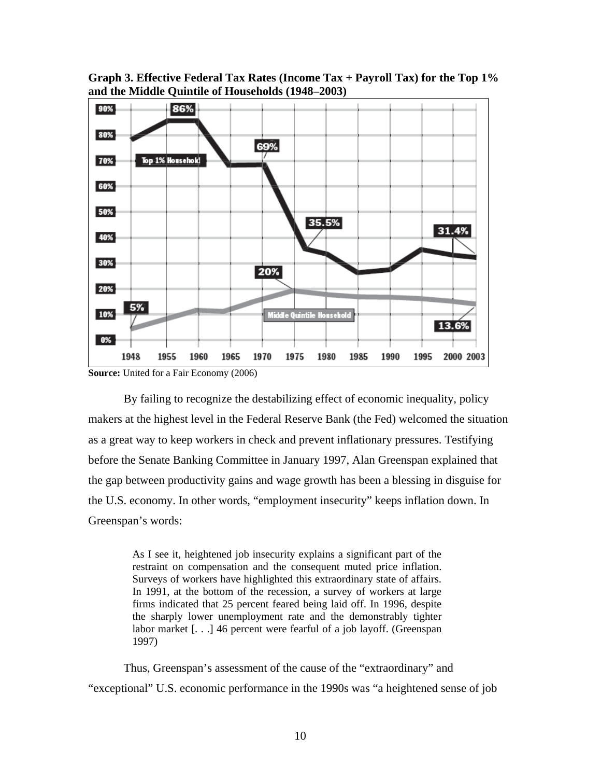**Graph 3. Effective Federal Tax Rates (Income Tax + Payroll Tax) for the Top 1% and the Middle Quintile of Households (1948–2003)** 



**Source:** United for a Fair Economy (2006)

 By failing to recognize the destabilizing effect of economic inequality, policy makers at the highest level in the Federal Reserve Bank (the Fed) welcomed the situation as a great way to keep workers in check and prevent inflationary pressures. Testifying before the Senate Banking Committee in January 1997, Alan Greenspan explained that the gap between productivity gains and wage growth has been a blessing in disguise for the U.S. economy. In other words, "employment insecurity" keeps inflation down. In Greenspan's words:

> As I see it, heightened job insecurity explains a significant part of the restraint on compensation and the consequent muted price inflation. Surveys of workers have highlighted this extraordinary state of affairs. In 1991, at the bottom of the recession, a survey of workers at large firms indicated that 25 percent feared being laid off. In 1996, despite the sharply lower unemployment rate and the demonstrably tighter labor market [. . .] 46 percent were fearful of a job layoff. (Greenspan 1997)

 Thus, Greenspan's assessment of the cause of the "extraordinary" and "exceptional" U.S. economic performance in the 1990s was "a heightened sense of job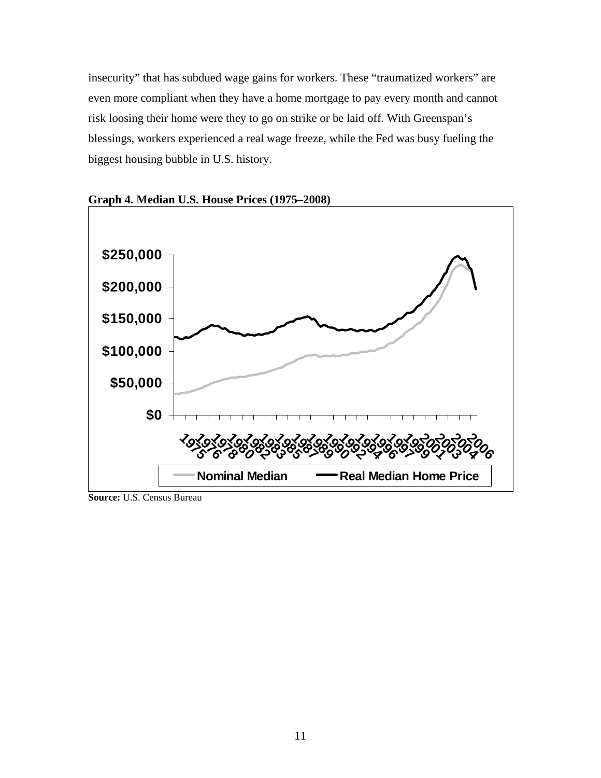insecurity" that has subdued wage gains for workers. These "traumatized workers" are even more compliant when they have a home mortgage to pay every month and cannot risk loosing their home were they to go on strike or be laid off. With Greenspan's blessings, workers experienced a real wage freeze, while the Fed was busy fueling the biggest housing bubble in U.S. history.



**Graph 4. Median U.S. House Prices (1975–2008)** 

**Source:** U.S. Census Bureau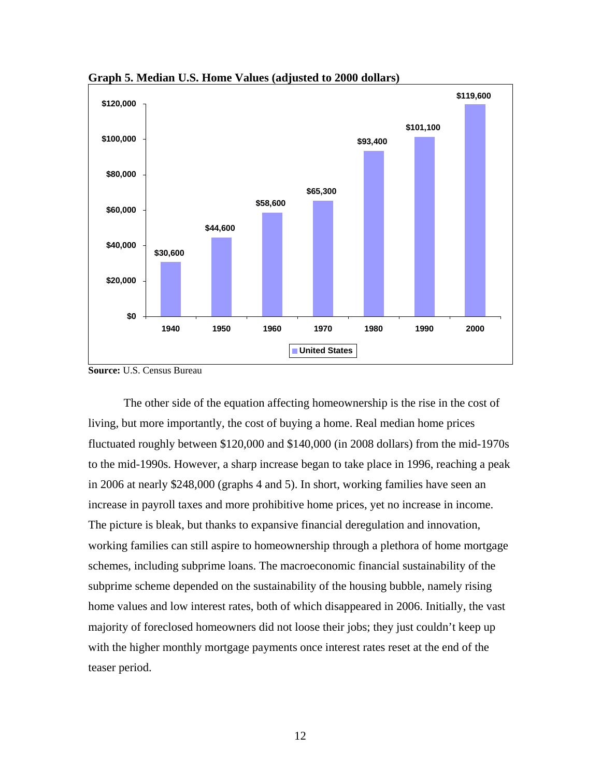

**Graph 5. Median U.S. Home Values (adjusted to 2000 dollars)**

 The other side of the equation affecting homeownership is the rise in the cost of living, but more importantly, the cost of buying a home. Real median home prices fluctuated roughly between \$120,000 and \$140,000 (in 2008 dollars) from the mid-1970s to the mid-1990s. However, a sharp increase began to take place in 1996, reaching a peak in 2006 at nearly \$248,000 (graphs 4 and 5). In short, working families have seen an increase in payroll taxes and more prohibitive home prices, yet no increase in income. The picture is bleak, but thanks to expansive financial deregulation and innovation, working families can still aspire to homeownership through a plethora of home mortgage schemes, including subprime loans. The macroeconomic financial sustainability of the subprime scheme depended on the sustainability of the housing bubble, namely rising home values and low interest rates, both of which disappeared in 2006. Initially, the vast majority of foreclosed homeowners did not loose their jobs; they just couldn't keep up with the higher monthly mortgage payments once interest rates reset at the end of the teaser period.

**Source:** U.S. Census Bureau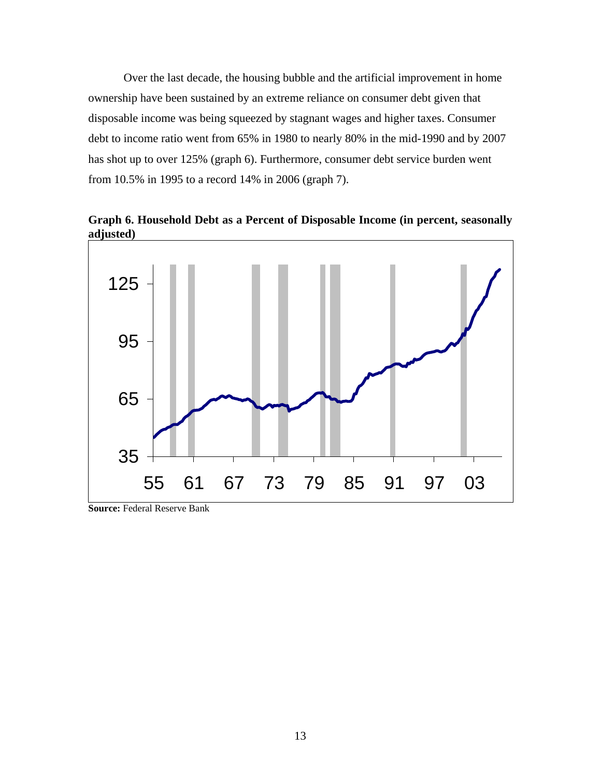Over the last decade, the housing bubble and the artificial improvement in home ownership have been sustained by an extreme reliance on consumer debt given that disposable income was being squeezed by stagnant wages and higher taxes. Consumer debt to income ratio went from 65% in 1980 to nearly 80% in the mid-1990 and by 2007 has shot up to over 125% (graph 6). Furthermore, consumer debt service burden went from 10.5% in 1995 to a record 14% in 2006 (graph 7).



**Graph 6. Household Debt as a Percent of Disposable Income (in percent, seasonally adjusted)**

**Source:** Federal Reserve Bank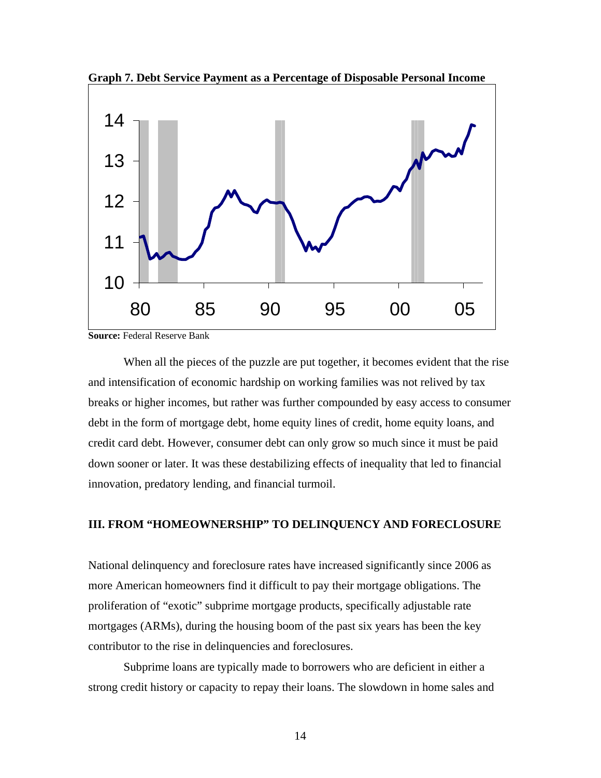

**Graph 7. Debt Service Payment as a Percentage of Disposable Personal Income** 

**Source:** Federal Reserve Bank

 When all the pieces of the puzzle are put together, it becomes evident that the rise and intensification of economic hardship on working families was not relived by tax breaks or higher incomes, but rather was further compounded by easy access to consumer debt in the form of mortgage debt, home equity lines of credit, home equity loans, and credit card debt. However, consumer debt can only grow so much since it must be paid down sooner or later. It was these destabilizing effects of inequality that led to financial innovation, predatory lending, and financial turmoil.

### **III. FROM "HOMEOWNERSHIP" TO DELINQUENCY AND FORECLOSURE**

National delinquency and foreclosure rates have increased significantly since 2006 as more American homeowners find it difficult to pay their mortgage obligations. The proliferation of "exotic" subprime mortgage products, specifically adjustable rate mortgages (ARMs), during the housing boom of the past six years has been the key contributor to the rise in delinquencies and foreclosures.

Subprime loans are typically made to borrowers who are deficient in either a strong credit history or capacity to repay their loans. The slowdown in home sales and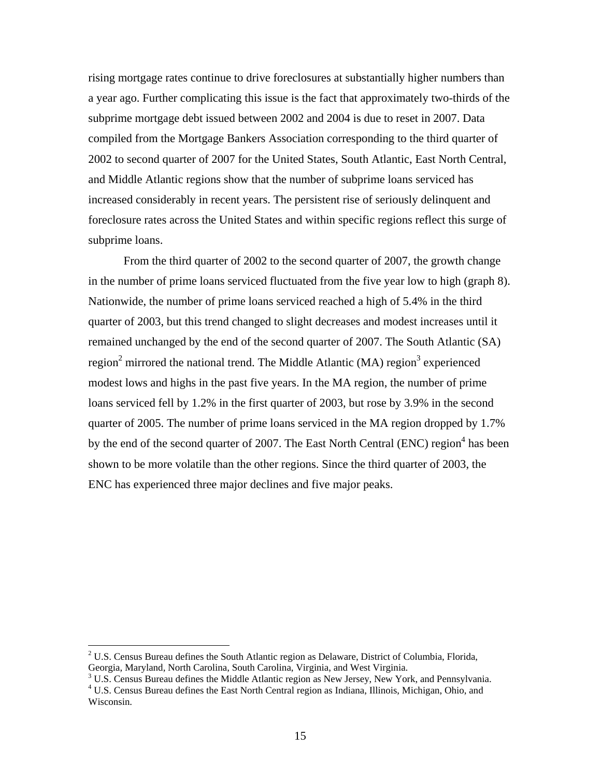rising mortgage rates continue to drive foreclosures at substantially higher numbers than a year ago. Further complicating this issue is the fact that approximately two-thirds of the subprime mortgage debt issued between 2002 and 2004 is due to reset in 2007. Data compiled from the Mortgage Bankers Association corresponding to the third quarter of 2002 to second quarter of 2007 for the United States, South Atlantic, East North Central, and Middle Atlantic regions show that the number of subprime loans serviced has increased considerably in recent years. The persistent rise of seriously delinquent and foreclosure rates across the United States and within specific regions reflect this surge of subprime loans.

From the third quarter of 2002 to the second quarter of 2007, the growth change in the number of prime loans serviced fluctuated from the five year low to high (graph 8). Nationwide, the number of prime loans serviced reached a high of 5.4% in the third quarter of 2003, but this trend changed to slight decreases and modest increases until it remained unchanged by the end of the second quarter of 2007. The South Atlantic (SA) region<sup>2</sup> mirrored the national trend. The Middle Atlantic (MA) region<sup>3</sup> experienced modest lows and highs in the past five years. In the MA region, the number of prime loans serviced fell by 1.2% in the first quarter of 2003, but rose by 3.9% in the second quarter of 2005. The number of prime loans serviced in the MA region dropped by 1.7% by the end of the second quarter of 2007. The East North Central (ENC) region<sup>4</sup> has been shown to be more volatile than the other regions. Since the third quarter of 2003, the ENC has experienced three major declines and five major peaks.

 $\overline{a}$ 

 $2^2$  U.S. Census Bureau defines the South Atlantic region as Delaware, District of Columbia, Florida, Georgia, Maryland, North Carolina, South Carolina, Virginia, and West Virginia. 3

<sup>&</sup>lt;sup>3</sup> U.S. Census Bureau defines the Middle Atlantic region as New Jersey, New York, and Pennsylvania.

<sup>&</sup>lt;sup>4</sup> U.S. Census Bureau defines the East North Central region as Indiana, Illinois, Michigan, Ohio, and Wisconsin.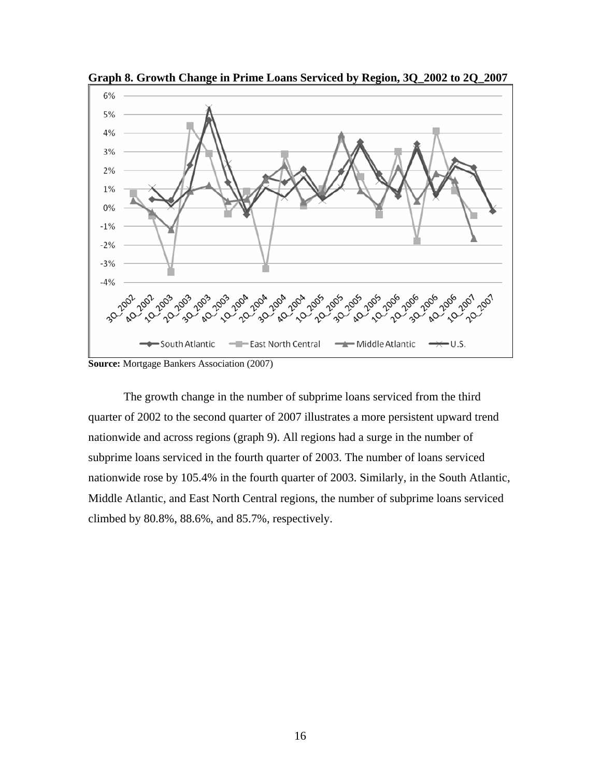

**Graph 8. Growth Change in Prime Loans Serviced by Region, 3Q\_2002 to 2Q\_2007** 

**Source:** Mortgage Bankers Association (2007)

The growth change in the number of subprime loans serviced from the third quarter of 2002 to the second quarter of 2007 illustrates a more persistent upward trend nationwide and across regions (graph 9). All regions had a surge in the number of subprime loans serviced in the fourth quarter of 2003. The number of loans serviced nationwide rose by 105.4% in the fourth quarter of 2003. Similarly, in the South Atlantic, Middle Atlantic, and East North Central regions, the number of subprime loans serviced climbed by 80.8%, 88.6%, and 85.7%, respectively.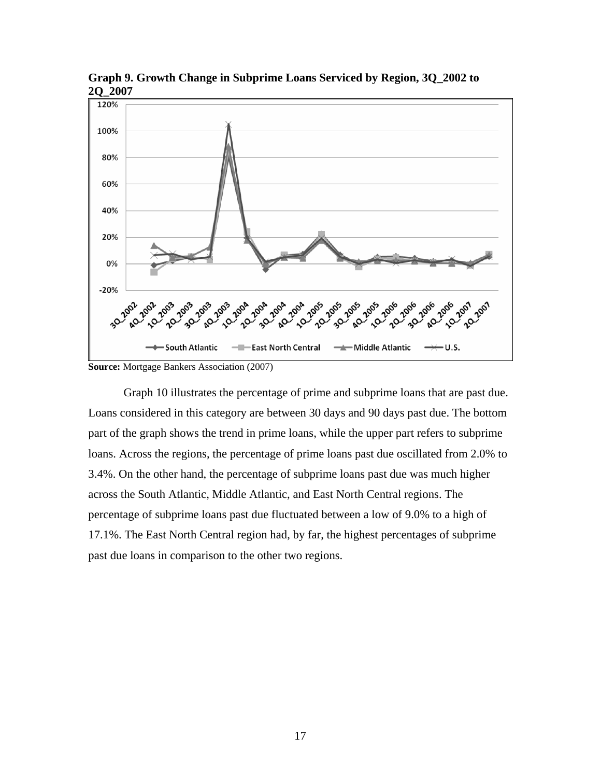

**Graph 9. Growth Change in Subprime Loans Serviced by Region, 3Q\_2002 to 2Q\_2007**

**Source:** Mortgage Bankers Association (2007)

Graph 10 illustrates the percentage of prime and subprime loans that are past due. Loans considered in this category are between 30 days and 90 days past due. The bottom part of the graph shows the trend in prime loans, while the upper part refers to subprime loans. Across the regions, the percentage of prime loans past due oscillated from 2.0% to 3.4%. On the other hand, the percentage of subprime loans past due was much higher across the South Atlantic, Middle Atlantic, and East North Central regions. The percentage of subprime loans past due fluctuated between a low of 9.0% to a high of 17.1%. The East North Central region had, by far, the highest percentages of subprime past due loans in comparison to the other two regions.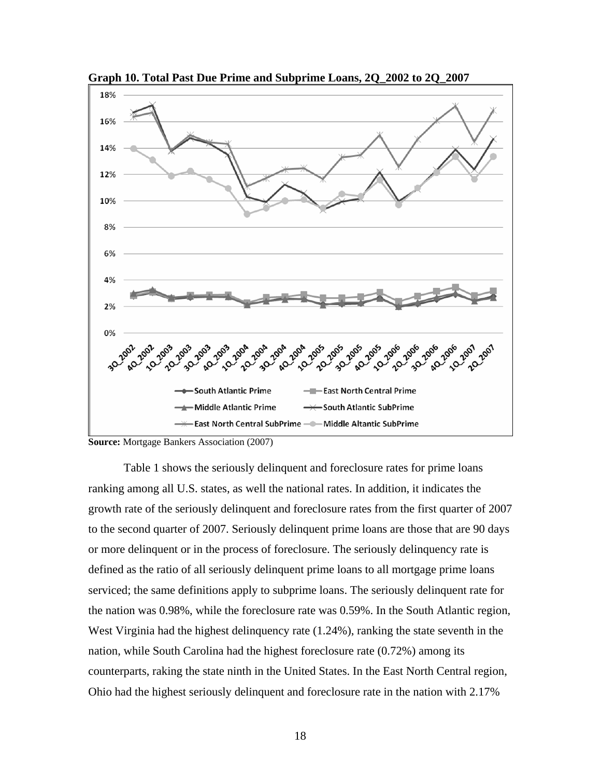

**Graph 10. Total Past Due Prime and Subprime Loans, 2Q\_2002 to 2Q\_2007** 

 Table 1 shows the seriously delinquent and foreclosure rates for prime loans ranking among all U.S. states, as well the national rates. In addition, it indicates the growth rate of the seriously delinquent and foreclosure rates from the first quarter of 2007 to the second quarter of 2007. Seriously delinquent prime loans are those that are 90 days or more delinquent or in the process of foreclosure. The seriously delinquency rate is defined as the ratio of all seriously delinquent prime loans to all mortgage prime loans serviced; the same definitions apply to subprime loans. The seriously delinquent rate for the nation was 0.98%, while the foreclosure rate was 0.59%. In the South Atlantic region, West Virginia had the highest delinquency rate (1.24%), ranking the state seventh in the nation, while South Carolina had the highest foreclosure rate (0.72%) among its counterparts, raking the state ninth in the United States. In the East North Central region, Ohio had the highest seriously delinquent and foreclosure rate in the nation with 2.17%

**Source:** Mortgage Bankers Association (2007)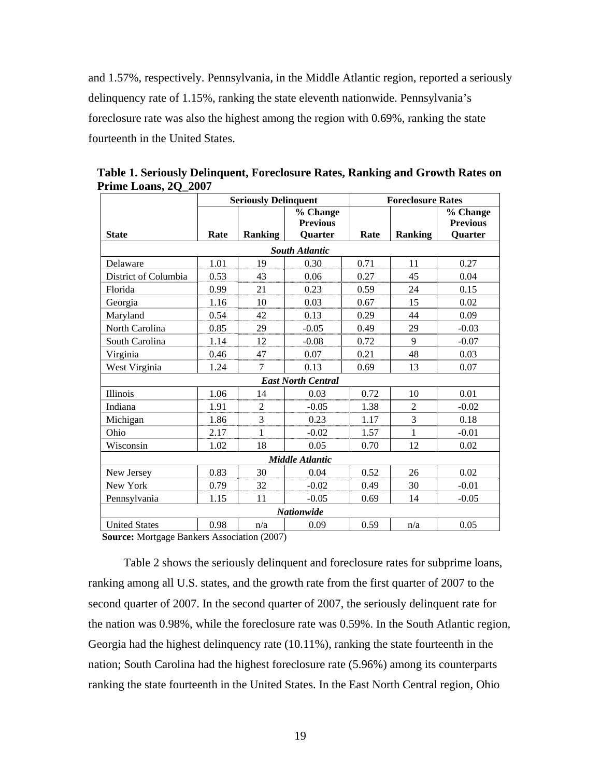and 1.57%, respectively. Pennsylvania, in the Middle Atlantic region, reported a seriously delinquency rate of 1.15%, ranking the state eleventh nationwide. Pennsylvania's foreclosure rate was also the highest among the region with 0.69%, ranking the state fourteenth in the United States.

|                           | <b>Seriously Delinquent</b> |                |                                        | <b>Foreclosure Rates</b> |                |                                        |  |  |  |  |
|---------------------------|-----------------------------|----------------|----------------------------------------|--------------------------|----------------|----------------------------------------|--|--|--|--|
| <b>State</b>              | Rate                        | <b>Ranking</b> | % Change<br><b>Previous</b><br>Quarter | Rate                     | <b>Ranking</b> | % Change<br><b>Previous</b><br>Quarter |  |  |  |  |
| <b>South Atlantic</b>     |                             |                |                                        |                          |                |                                        |  |  |  |  |
| Delaware                  | 1.01                        | 19             | 0.30                                   | 0.71                     | 11             | 0.27                                   |  |  |  |  |
| District of Columbia      | 0.53                        | 43             | 0.06                                   | 0.27                     | 45             | 0.04                                   |  |  |  |  |
| Florida                   | 0.99                        | 21             | 0.23                                   | 0.59                     | 24             | 0.15                                   |  |  |  |  |
| Georgia                   | 1.16                        | 10             | 0.03                                   | 0.67                     | 15             | 0.02                                   |  |  |  |  |
| Maryland                  | 0.54                        | 42             | 0.13                                   | 0.29                     | 44             | 0.09                                   |  |  |  |  |
| North Carolina            | 0.85                        | 29             | $-0.05$                                | 0.49                     | 29             | $-0.03$                                |  |  |  |  |
| South Carolina            | 1.14                        | 12             | $-0.08$                                | 0.72                     | $\mathbf{Q}$   | $-0.07$                                |  |  |  |  |
| Virginia                  | 0.46                        | 47             | 0.07                                   | 0.21                     | 48             | 0.03                                   |  |  |  |  |
| West Virginia             | 1.24                        | $\tau$         | 0.13                                   | 0.69                     | 13             | 0.07                                   |  |  |  |  |
| <b>East North Central</b> |                             |                |                                        |                          |                |                                        |  |  |  |  |
| <b>Illinois</b>           | 1.06                        | 14             | 0.03                                   | 0.72                     | 10             | 0.01                                   |  |  |  |  |
| Indiana                   | 1.91                        | $\overline{2}$ | $-0.05$                                | 1.38                     | $\overline{2}$ | $-0.02$                                |  |  |  |  |
| Michigan                  | 1.86                        | 3              | 0.23                                   | 1.17                     | 3              | 0.18                                   |  |  |  |  |
| Ohio                      | 2.17                        | $\mathbf{1}$   | $-0.02$                                | 1.57                     | $\mathbf{1}$   | $-0.01$                                |  |  |  |  |
| Wisconsin                 | 1.02                        | 18             | 0.05                                   | 0.70                     | 12             | 0.02                                   |  |  |  |  |
| <b>Middle Atlantic</b>    |                             |                |                                        |                          |                |                                        |  |  |  |  |
| New Jersey                | 0.83                        | 30             | 0.04                                   | 0.52                     | 26             | 0.02                                   |  |  |  |  |
| New York                  | 0.79                        | 32             | $-0.02$                                | 0.49                     | 30             | $-0.01$                                |  |  |  |  |
| Pennsylvania              | 1.15                        | 11             | $-0.05$                                | 0.69                     | 14             | $-0.05$                                |  |  |  |  |
| <b>Nationwide</b>         |                             |                |                                        |                          |                |                                        |  |  |  |  |
| <b>United States</b>      | 0.98                        | n/a            | 0.09                                   | 0.59                     | n/a            | 0.05                                   |  |  |  |  |

**Table 1. Seriously Delinquent, Foreclosure Rates, Ranking and Growth Rates on Prime Loans, 2Q\_2007** 

 **Source:** Mortgage Bankers Association (2007)

 Table 2 shows the seriously delinquent and foreclosure rates for subprime loans, ranking among all U.S. states, and the growth rate from the first quarter of 2007 to the second quarter of 2007. In the second quarter of 2007, the seriously delinquent rate for the nation was 0.98%, while the foreclosure rate was 0.59%. In the South Atlantic region, Georgia had the highest delinquency rate (10.11%), ranking the state fourteenth in the nation; South Carolina had the highest foreclosure rate (5.96%) among its counterparts ranking the state fourteenth in the United States. In the East North Central region, Ohio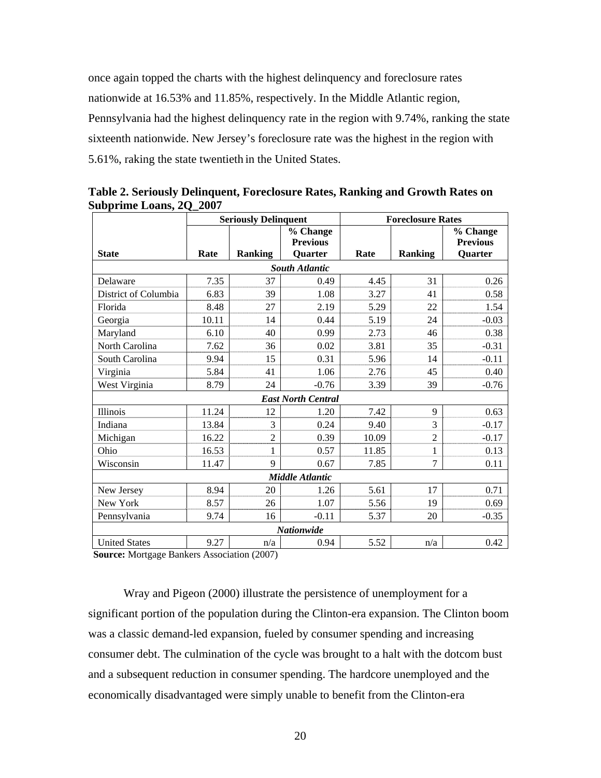once again topped the charts with the highest delinquency and foreclosure rates nationwide at 16.53% and 11.85%, respectively. In the Middle Atlantic region, Pennsylvania had the highest delinquency rate in the region with 9.74%, ranking the state sixteenth nationwide. New Jersey's foreclosure rate was the highest in the region with 5.61%, raking the state twentieth in the United States.

| <b>Seriously Delinquent</b> |       |                |                             | <b>Foreclosure Rates</b> |                |                             |  |  |  |  |
|-----------------------------|-------|----------------|-----------------------------|--------------------------|----------------|-----------------------------|--|--|--|--|
|                             |       |                | % Change<br><b>Previous</b> |                          |                | % Change<br><b>Previous</b> |  |  |  |  |
| <b>State</b>                | Rate  | <b>Ranking</b> | <b>Quarter</b>              | Rate                     | <b>Ranking</b> | <b>Quarter</b>              |  |  |  |  |
| <b>South Atlantic</b>       |       |                |                             |                          |                |                             |  |  |  |  |
| Delaware                    | 7.35  | 37             | 0.49                        | 4.45                     | 31             | 0.26                        |  |  |  |  |
| District of Columbia        | 6.83  | 39             | 1.08                        | 3.27                     | 41             | 0.58                        |  |  |  |  |
| Florida                     | 8.48  | 27             | 2.19                        | 5.29                     | 22             | 1.54                        |  |  |  |  |
| Georgia                     | 10.11 | 14             | 0.44                        | 5.19                     | 24             | $-0.03$                     |  |  |  |  |
| Maryland                    | 6.10  | 40             | 0.99                        | 2.73                     | 46             | 0.38                        |  |  |  |  |
| North Carolina              | 7.62  | 36             | 0.02                        | 3.81                     | 35             | $-0.31$                     |  |  |  |  |
| South Carolina              | 9.94  | 15             | 0.31                        | 5.96                     | 14             | $-0.11$                     |  |  |  |  |
| Virginia                    | 5.84  | 41             | 1.06                        | 2.76                     | 45             | 0.40                        |  |  |  |  |
| West Virginia               | 8.79  | 24             | $-0.76$                     | 3.39                     | 39             | $-0.76$                     |  |  |  |  |
|                             |       |                | <b>East North Central</b>   |                          |                |                             |  |  |  |  |
| Illinois                    | 11.24 | 12             | 1.20                        | 7.42                     | 9              | 0.63                        |  |  |  |  |
| Indiana                     | 13.84 | 3              | 0.24                        | 9.40                     | 3              | $-0.17$                     |  |  |  |  |
| Michigan                    | 16.22 | $\overline{2}$ | 0.39                        | 10.09                    | $\overline{2}$ | $-0.17$                     |  |  |  |  |
| Ohio                        | 16.53 | 1              | 0.57                        | 11.85                    | 1              | 0.13                        |  |  |  |  |
| Wisconsin                   | 11.47 | 9              | 0.67                        | 7.85                     | $\overline{7}$ | 0.11                        |  |  |  |  |
| <b>Middle Atlantic</b>      |       |                |                             |                          |                |                             |  |  |  |  |
| New Jersey                  | 8.94  | 20             | 1.26                        | 5.61                     | 17             | 0.71                        |  |  |  |  |
| New York                    | 8.57  | 26             | 1.07                        | 5.56                     | 19             | 0.69                        |  |  |  |  |
| Pennsylvania                | 9.74  | 16             | $-0.11$                     | 5.37                     | 20             | $-0.35$                     |  |  |  |  |
| <b>Nationwide</b>           |       |                |                             |                          |                |                             |  |  |  |  |
| <b>United States</b>        | 9.27  | n/a            | 0.94                        | 5.52                     | n/a            | 0.42                        |  |  |  |  |

**Table 2. Seriously Delinquent, Foreclosure Rates, Ranking and Growth Rates on Subprime Loans, 2Q\_2007** 

 **Source:** Mortgage Bankers Association (2007)

Wray and Pigeon (2000) illustrate the persistence of unemployment for a significant portion of the population during the Clinton-era expansion. The Clinton boom was a classic demand-led expansion, fueled by consumer spending and increasing consumer debt. The culmination of the cycle was brought to a halt with the dotcom bust and a subsequent reduction in consumer spending. The hardcore unemployed and the economically disadvantaged were simply unable to benefit from the Clinton-era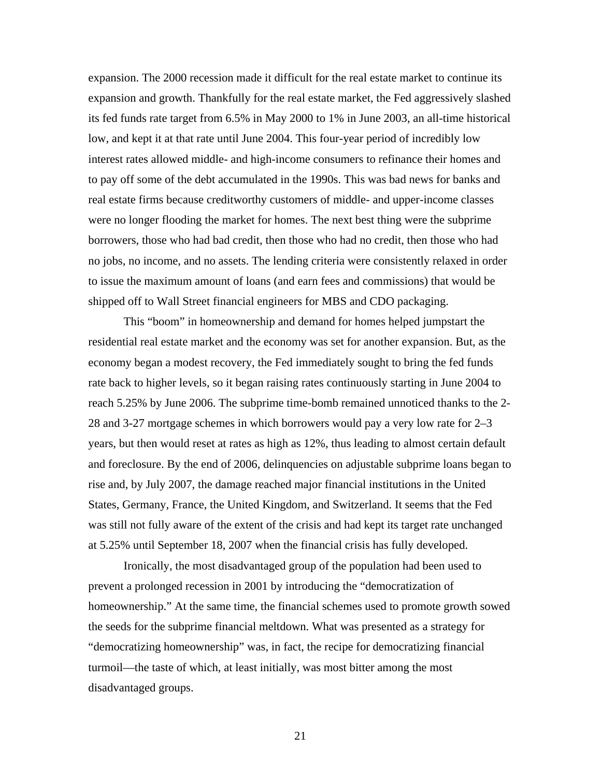expansion. The 2000 recession made it difficult for the real estate market to continue its expansion and growth. Thankfully for the real estate market, the Fed aggressively slashed its fed funds rate target from 6.5% in May 2000 to 1% in June 2003, an all-time historical low, and kept it at that rate until June 2004. This four-year period of incredibly low interest rates allowed middle- and high-income consumers to refinance their homes and to pay off some of the debt accumulated in the 1990s. This was bad news for banks and real estate firms because creditworthy customers of middle- and upper-income classes were no longer flooding the market for homes. The next best thing were the subprime borrowers, those who had bad credit, then those who had no credit, then those who had no jobs, no income, and no assets. The lending criteria were consistently relaxed in order to issue the maximum amount of loans (and earn fees and commissions) that would be shipped off to Wall Street financial engineers for MBS and CDO packaging.

This "boom" in homeownership and demand for homes helped jumpstart the residential real estate market and the economy was set for another expansion. But, as the economy began a modest recovery, the Fed immediately sought to bring the fed funds rate back to higher levels, so it began raising rates continuously starting in June 2004 to reach 5.25% by June 2006. The subprime time-bomb remained unnoticed thanks to the 2- 28 and 3-27 mortgage schemes in which borrowers would pay a very low rate for 2–3 years, but then would reset at rates as high as 12%, thus leading to almost certain default and foreclosure. By the end of 2006, delinquencies on adjustable subprime loans began to rise and, by July 2007, the damage reached major financial institutions in the United States, Germany, France, the United Kingdom, and Switzerland. It seems that the Fed was still not fully aware of the extent of the crisis and had kept its target rate unchanged at 5.25% until September 18, 2007 when the financial crisis has fully developed.

Ironically, the most disadvantaged group of the population had been used to prevent a prolonged recession in 2001 by introducing the "democratization of homeownership." At the same time, the financial schemes used to promote growth sowed the seeds for the subprime financial meltdown. What was presented as a strategy for "democratizing homeownership" was, in fact, the recipe for democratizing financial turmoil—the taste of which, at least initially, was most bitter among the most disadvantaged groups.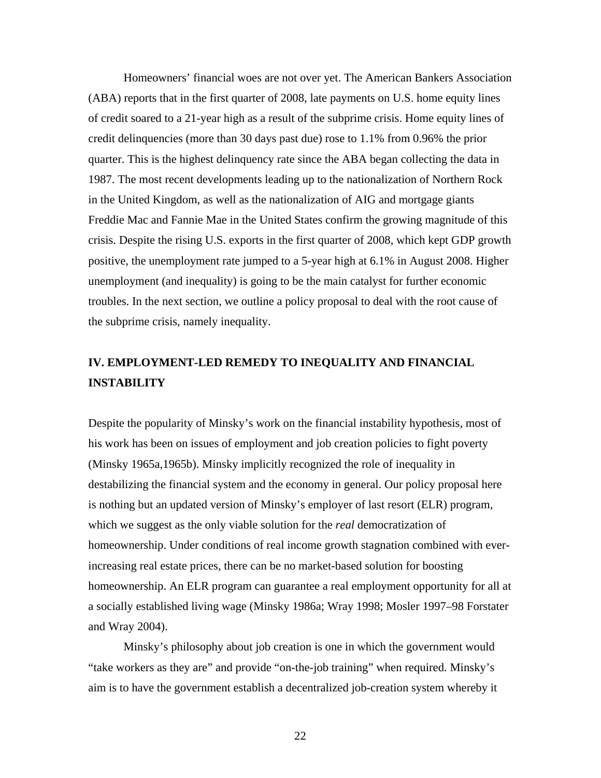Homeowners' financial woes are not over yet. The American Bankers Association (ABA) reports that in the first quarter of 2008, late payments on U.S. home equity lines of credit soared to a 21-year high as a result of the subprime crisis. Home equity lines of credit delinquencies (more than 30 days past due) rose to 1.1% from 0.96% the prior quarter. This is the highest delinquency rate since the ABA began collecting the data in 1987. The most recent developments leading up to the nationalization of Northern Rock in the United Kingdom, as well as the nationalization of AIG and mortgage giants Freddie Mac and Fannie Mae in the United States confirm the growing magnitude of this crisis. Despite the rising U.S. exports in the first quarter of 2008, which kept GDP growth positive, the unemployment rate jumped to a 5-year high at 6.1% in August 2008. Higher unemployment (and inequality) is going to be the main catalyst for further economic troubles. In the next section, we outline a policy proposal to deal with the root cause of the subprime crisis, namely inequality.

# **IV. EMPLOYMENT-LED REMEDY TO INEQUALITY AND FINANCIAL INSTABILITY**

Despite the popularity of Minsky's work on the financial instability hypothesis, most of his work has been on issues of employment and job creation policies to fight poverty (Minsky 1965a,1965b). Minsky implicitly recognized the role of inequality in destabilizing the financial system and the economy in general. Our policy proposal here is nothing but an updated version of Minsky's employer of last resort (ELR) program, which we suggest as the only viable solution for the *real* democratization of homeownership. Under conditions of real income growth stagnation combined with everincreasing real estate prices, there can be no market-based solution for boosting homeownership. An ELR program can guarantee a real employment opportunity for all at a socially established living wage (Minsky 1986a; Wray 1998; Mosler 1997–98 Forstater and Wray 2004).

Minsky's philosophy about job creation is one in which the government would "take workers as they are" and provide "on-the-job training" when required. Minsky's aim is to have the government establish a decentralized job-creation system whereby it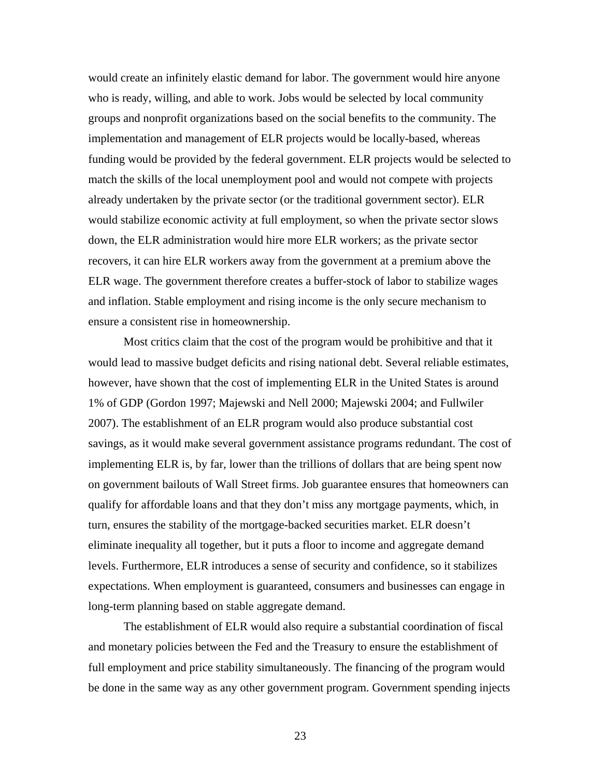would create an infinitely elastic demand for labor. The government would hire anyone who is ready, willing, and able to work. Jobs would be selected by local community groups and nonprofit organizations based on the social benefits to the community. The implementation and management of ELR projects would be locally-based, whereas funding would be provided by the federal government. ELR projects would be selected to match the skills of the local unemployment pool and would not compete with projects already undertaken by the private sector (or the traditional government sector). ELR would stabilize economic activity at full employment, so when the private sector slows down, the ELR administration would hire more ELR workers; as the private sector recovers, it can hire ELR workers away from the government at a premium above the ELR wage. The government therefore creates a buffer-stock of labor to stabilize wages and inflation. Stable employment and rising income is the only secure mechanism to ensure a consistent rise in homeownership.

Most critics claim that the cost of the program would be prohibitive and that it would lead to massive budget deficits and rising national debt. Several reliable estimates, however, have shown that the cost of implementing ELR in the United States is around 1% of GDP (Gordon 1997; Majewski and Nell 2000; Majewski 2004; and Fullwiler 2007). The establishment of an ELR program would also produce substantial cost savings, as it would make several government assistance programs redundant. The cost of implementing ELR is, by far, lower than the trillions of dollars that are being spent now on government bailouts of Wall Street firms. Job guarantee ensures that homeowners can qualify for affordable loans and that they don't miss any mortgage payments, which, in turn, ensures the stability of the mortgage-backed securities market. ELR doesn't eliminate inequality all together, but it puts a floor to income and aggregate demand levels. Furthermore, ELR introduces a sense of security and confidence, so it stabilizes expectations. When employment is guaranteed, consumers and businesses can engage in long-term planning based on stable aggregate demand.

The establishment of ELR would also require a substantial coordination of fiscal and monetary policies between the Fed and the Treasury to ensure the establishment of full employment and price stability simultaneously. The financing of the program would be done in the same way as any other government program. Government spending injects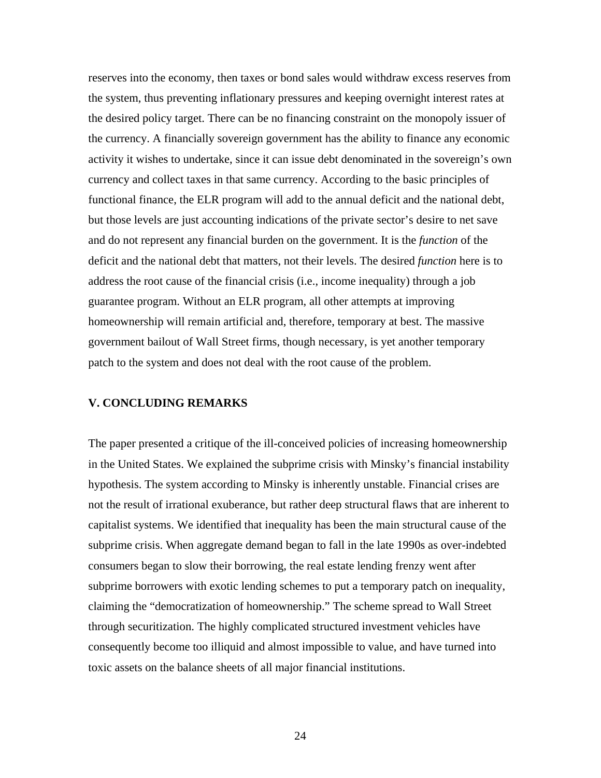reserves into the economy, then taxes or bond sales would withdraw excess reserves from the system, thus preventing inflationary pressures and keeping overnight interest rates at the desired policy target. There can be no financing constraint on the monopoly issuer of the currency. A financially sovereign government has the ability to finance any economic activity it wishes to undertake, since it can issue debt denominated in the sovereign's own currency and collect taxes in that same currency. According to the basic principles of functional finance, the ELR program will add to the annual deficit and the national debt, but those levels are just accounting indications of the private sector's desire to net save and do not represent any financial burden on the government. It is the *function* of the deficit and the national debt that matters, not their levels. The desired *function* here is to address the root cause of the financial crisis (i.e., income inequality) through a job guarantee program. Without an ELR program, all other attempts at improving homeownership will remain artificial and, therefore, temporary at best. The massive government bailout of Wall Street firms, though necessary, is yet another temporary patch to the system and does not deal with the root cause of the problem.

### **V. CONCLUDING REMARKS**

The paper presented a critique of the ill-conceived policies of increasing homeownership in the United States. We explained the subprime crisis with Minsky's financial instability hypothesis. The system according to Minsky is inherently unstable. Financial crises are not the result of irrational exuberance, but rather deep structural flaws that are inherent to capitalist systems. We identified that inequality has been the main structural cause of the subprime crisis. When aggregate demand began to fall in the late 1990s as over-indebted consumers began to slow their borrowing, the real estate lending frenzy went after subprime borrowers with exotic lending schemes to put a temporary patch on inequality, claiming the "democratization of homeownership." The scheme spread to Wall Street through securitization. The highly complicated structured investment vehicles have consequently become too illiquid and almost impossible to value, and have turned into toxic assets on the balance sheets of all major financial institutions.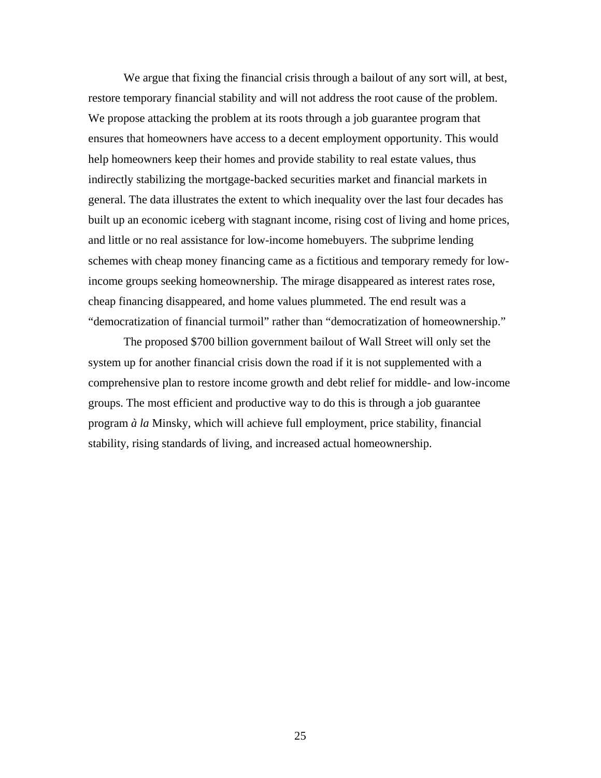We argue that fixing the financial crisis through a bailout of any sort will, at best, restore temporary financial stability and will not address the root cause of the problem. We propose attacking the problem at its roots through a job guarantee program that ensures that homeowners have access to a decent employment opportunity. This would help homeowners keep their homes and provide stability to real estate values, thus indirectly stabilizing the mortgage-backed securities market and financial markets in general. The data illustrates the extent to which inequality over the last four decades has built up an economic iceberg with stagnant income, rising cost of living and home prices, and little or no real assistance for low-income homebuyers. The subprime lending schemes with cheap money financing came as a fictitious and temporary remedy for lowincome groups seeking homeownership. The mirage disappeared as interest rates rose, cheap financing disappeared, and home values plummeted. The end result was a "democratization of financial turmoil" rather than "democratization of homeownership."

The proposed \$700 billion government bailout of Wall Street will only set the system up for another financial crisis down the road if it is not supplemented with a comprehensive plan to restore income growth and debt relief for middle- and low-income groups. The most efficient and productive way to do this is through a job guarantee program *à la* Minsky, which will achieve full employment, price stability, financial stability, rising standards of living, and increased actual homeownership.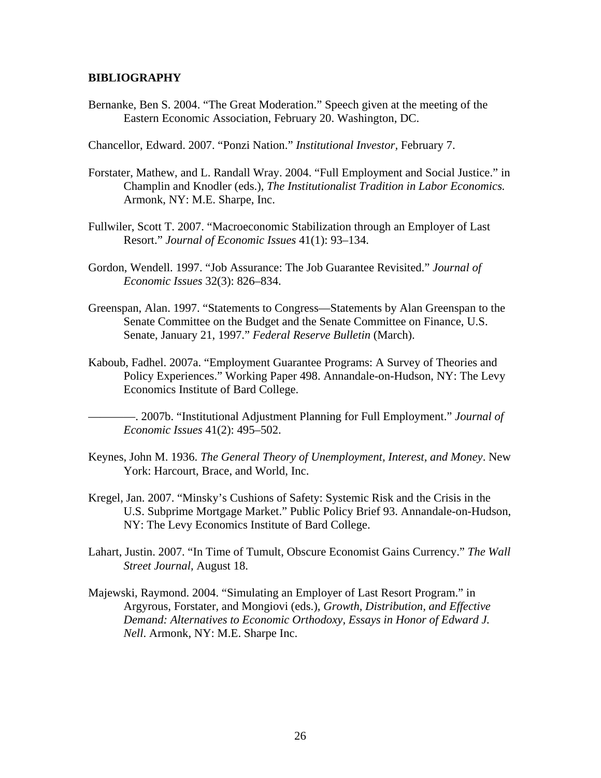#### **BIBLIOGRAPHY**

Bernanke, Ben S. 2004. "The Great Moderation." Speech given at the meeting of the Eastern Economic Association, February 20. Washington, DC.

Chancellor, Edward. 2007. "Ponzi Nation." *Institutional Investor,* February 7.

- Forstater, Mathew, and L. Randall Wray. 2004. "Full Employment and Social Justice." in Champlin and Knodler (eds.), *The Institutionalist Tradition in Labor Economics.* Armonk, NY: M.E. Sharpe, Inc.
- Fullwiler, Scott T. 2007. "Macroeconomic Stabilization through an Employer of Last Resort." *Journal of Economic Issues* 41(1): 93–134.
- Gordon, Wendell. 1997. "Job Assurance: The Job Guarantee Revisited." *Journal of Economic Issues* 32(3): 826–834.
- Greenspan, Alan. 1997. "Statements to Congress—Statements by Alan Greenspan to the Senate Committee on the Budget and the Senate Committee on Finance, U.S. Senate, January 21, 1997." *Federal Reserve Bulletin* (March).
- Kaboub, Fadhel. 2007a. "Employment Guarantee Programs: A Survey of Theories and Policy Experiences." Working Paper 498. Annandale-on-Hudson, NY: The Levy Economics Institute of Bard College.

————. 2007b. "Institutional Adjustment Planning for Full Employment." *Journal of Economic Issues* 41(2): 495–502.

- Keynes, John M. 1936. *The General Theory of Unemployment, Interest, and Money*. New York: Harcourt, Brace, and World, Inc.
- Kregel, Jan. 2007. "Minsky's Cushions of Safety: Systemic Risk and the Crisis in the U.S. Subprime Mortgage Market." Public Policy Brief 93. Annandale-on-Hudson, NY: The Levy Economics Institute of Bard College.
- Lahart, Justin. 2007. "In Time of Tumult, Obscure Economist Gains Currency." *The Wall Street Journal,* August 18.
- Majewski, Raymond. 2004. "Simulating an Employer of Last Resort Program." in Argyrous, Forstater, and Mongiovi (eds.), *Growth, Distribution, and Effective Demand: Alternatives to Economic Orthodoxy, Essays in Honor of Edward J. Nell*. Armonk, NY: M.E. Sharpe Inc.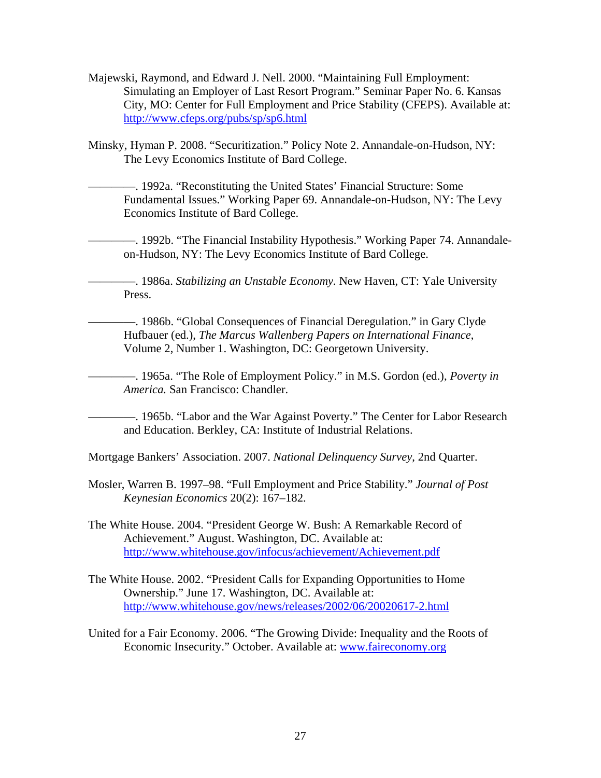- Majewski, Raymond, and Edward J. Nell. 2000. "Maintaining Full Employment: Simulating an Employer of Last Resort Program." Seminar Paper No. 6. Kansas City, MO: Center for Full Employment and Price Stability (CFEPS). Available at: http://www.cfeps.org/pubs/sp/sp6.html
- Minsky, Hyman P. 2008. "Securitization." Policy Note 2. Annandale-on-Hudson, NY: The Levy Economics Institute of Bard College.
	- ————. 1992a. "Reconstituting the United States' Financial Structure: Some Fundamental Issues." Working Paper 69. Annandale-on-Hudson, NY: The Levy Economics Institute of Bard College.
		- ————. 1992b. "The Financial Instability Hypothesis." Working Paper 74. Annandaleon-Hudson, NY: The Levy Economics Institute of Bard College.

————. 1986a. *Stabilizing an Unstable Economy.* New Haven, CT: Yale University Press.

————. 1986b. "Global Consequences of Financial Deregulation." in Gary Clyde Hufbauer (ed.), *The Marcus Wallenberg Papers on International Finance*, Volume 2, Number 1. Washington, DC: Georgetown University.

————. 1965a. "The Role of Employment Policy." in M.S. Gordon (ed.), *Poverty in America.* San Francisco: Chandler.

————. 1965b. "Labor and the War Against Poverty." The Center for Labor Research and Education. Berkley, CA: Institute of Industrial Relations.

Mortgage Bankers' Association. 2007. *National Delinquency Survey*, 2nd Quarter.

- Mosler, Warren B. 1997–98. "Full Employment and Price Stability." *Journal of Post Keynesian Economics* 20(2): 167–182.
- The White House. 2004. "President George W. Bush: A Remarkable Record of Achievement." August. Washington, DC. Available at: http://www.whitehouse.gov/infocus/achievement/Achievement.pdf
- The White House. 2002. "President Calls for Expanding Opportunities to Home Ownership." June 17. Washington, DC. Available at: http://www.whitehouse.gov/news/releases/2002/06/20020617-2.html
- United for a Fair Economy. 2006. "The Growing Divide: Inequality and the Roots of Economic Insecurity." October. Available at: www.faireconomy.org